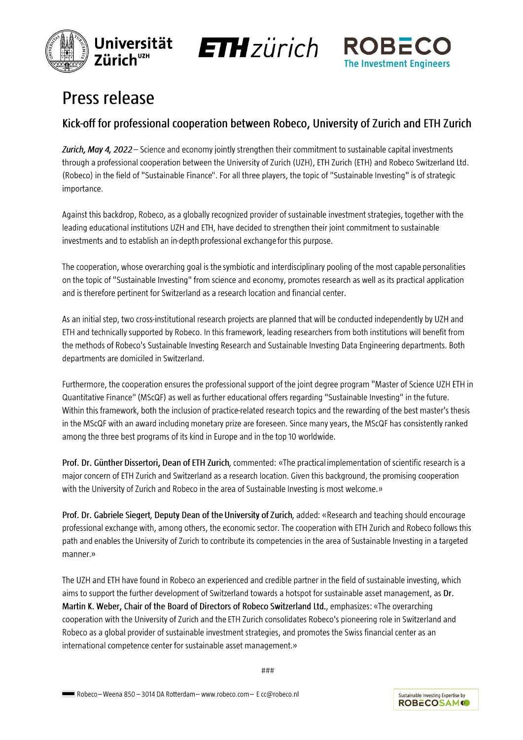





# **Press release**

# Kick-off for professional cooperation between Robeco, University of Zurich and ETH Zurich

Zurich, May 4, 2022 – Science and economy jointly strengthen their commitment to sustainable capital investments through a professional cooperation between the University of Zurich (UZH), ETH Zurich (ETH) and Robeco Switzerland Ltd. (Robeco) in the field of "Sustainable Finance". For all three players, the topic of "Sustainable Investing" is of strategic importance.

Against this backdrop, Robeco, as a globally recognized provider of sustainable investment strategies, together with the leading educational institutions UZH and ETH, have decided to strengthen their joint commitment to sustainable investments and to establish an in-depth professional exchange for this purpose.

The cooperation, whose overarching goal is the symbiotic and interdisciplinary pooling of the most capable personalities on the topic of "Sustainable Investing" from science and economy, promotes research as well as its practical application and is therefore pertinent for Switzerland as a research location and financial center.

As an initial step, two cross-institutional research projects are planned that will be conducted independently by UZH and ETH and technically supported by Robeco. In this framework, leading researchers from both institutions will benefit from the methods of Robeco's Sustainable Investing Research and Sustainable Investing Data Engineering departments. Both departments are domiciled in Switzerland.

Furthermore, the cooperation ensures the professional support of the joint degree program "Master of Science UZH ETH in Quantitative Finance" (MScQF) as well as further educational offers regarding "Sustainable Investing" in the future. Within this framework, both the inclusion of practice-related research topics and the rewarding of the best master's thesis in the MScQF with an award including monetary prize are foreseen. Since many years, the MScQF has consistently ranked among the three best programs of its kind in Europe and in the top 10 worldwide.

Prof. Dr. Günther Dissertori, Dean of ETH Zurich, commented: «The practical implementation of scientific research is a major concern of ETH Zurich and Switzerland as a research location. Given this background, the promising cooperation with the University of Zurich and Robeco in the area of Sustainable Investing is most welcome.»

Prof. Dr. Gabriele Siegert, Deputy Dean of the University of Zurich, added: «Research and teaching should encourage professional exchange with, among others, the economic sector. The cooperation with ETH Zurich and Robeco follows this path and enables the University of Zurich to contribute its competencies in the area of Sustainable Investing in a targeted manner.»

The UZH and ETH have found in Robeco an experienced and credible partner in the field of sustainable investing, which aims to support the further development of Switzerland towards a hotspot for sustainable asset management, as Dr. Martin K. Weber, Chair of the Board of Directors of Robeco Switzerland Ltd., emphasizes: «The overarching cooperation with the University of Zurich and the ETH Zurich consolidates Robeco's pioneering role in Switzerland and Robeco as a global provider of sustainable investment strategies, and promotes the Swiss financial center as an international competence center for sustainable asset management.»